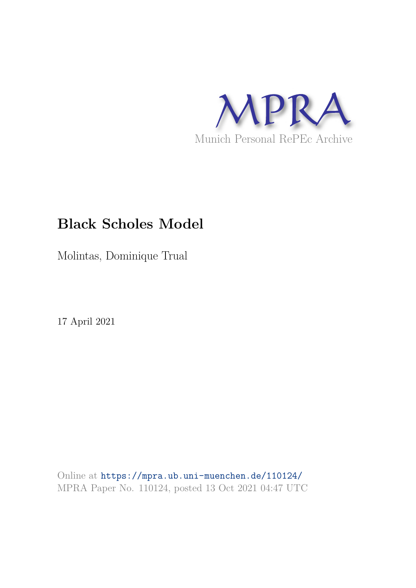

# **Black Scholes Model**

Molintas, Dominique Trual

17 April 2021

Online at https://mpra.ub.uni-muenchen.de/110124/ MPRA Paper No. 110124, posted 13 Oct 2021 04:47 UTC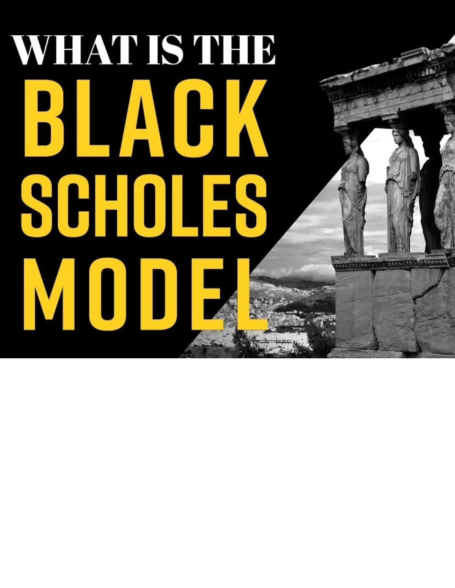# WHAT IS THE BLACK SCHOLES MODE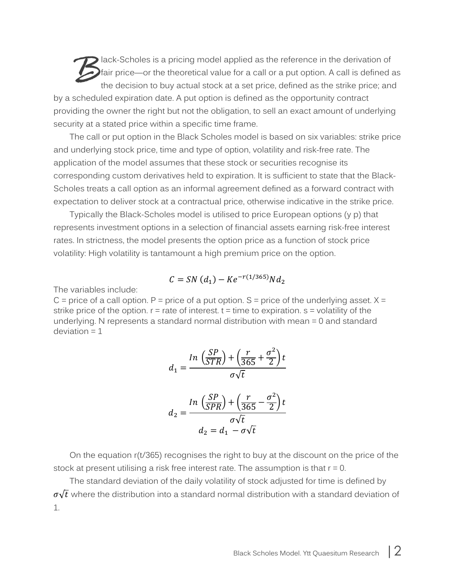lack-Scholes is a pricing model applied as the reference in the derivation of fair price—or the theoretical value for a call or a put option. A call is defined as the decision to buy actual stock at a set price, defined as the strike price; and by a scheduled expiration date. A put option is defined as the opportunity contract providing the owner the right but not the obligation, to sell an exact amount of underlying security at a stated price within a specific time frame.  $B<sub>fair</sub>$ 

The call or put option in the Black Scholes model is based on six variables: strike price and underlying stock price, time and type of option, volatility and risk-free rate. The application of the model assumes that these stock or securities recognise its corresponding custom derivatives held to expiration. It is sufficient to state that the Black-Scholes treats a call option as an informal agreement defined as a forward contract with expectation to deliver stock at a contractual price, otherwise indicative in the strike price.

Typically the Black-Scholes model is utilised to price European options (y p) that represents investment options in a selection of financial assets earning risk-free interest rates. In strictness, the model presents the option price as a function of stock price volatility: High volatility is tantamount a high premium price on the option.

$$
C = SN\left(d_1\right) - Ke^{-r(1/365)}Nd_2
$$

The variables include:

 $C$  = price of a call option. P = price of a put option. S = price of the underlying asset.  $X =$ strike price of the option.  $r =$  rate of interest.  $t =$  time to expiration.  $s =$  volatility of the underlying. N represents a standard normal distribution with mean = 0 and standard  $deviation = 1$ 

$$
d_1 = \frac{\ln\left(\frac{SP}{STR}\right) + \left(\frac{r}{365} + \frac{\sigma^2}{2}\right)t}{\sigma\sqrt{t}}
$$

$$
d_2 = \frac{\ln\left(\frac{SP}{SPR}\right) + \left(\frac{r}{365} - \frac{\sigma^2}{2}\right)t}{\sigma\sqrt{t}}
$$

$$
d_2 = d_1 - \sigma\sqrt{t}
$$

On the equation r(t/365) recognises the right to buy at the discount on the price of the stock at present utilising a risk free interest rate. The assumption is that r = 0.

The standard deviation of the daily volatility of stock adjusted for time is defined by  $\sigma\sqrt{t}$  where the distribution into a standard normal distribution with a standard deviation of 1.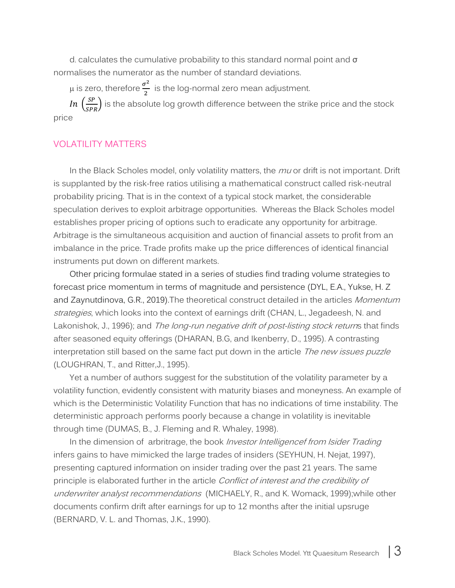$d<sub>i</sub>$  calculates the cumulative probability to this standard normal point and  $\sigma$ normalises the numerator as the number of standard deviations.

 $\mu$  is zero, therefore  $\frac{\sigma^2}{2}$  $\frac{1}{2}$  is the log-normal zero mean adjustment. In  $\left(\frac{SP}{SPR}\right)$  is the absolute log growth difference between the strike price and the stock price

### VOLATILITY MATTERS

In the Black Scholes model, only volatility matters, the  $mu$  or drift is not important. Drift is supplanted by the risk-free ratios utilising a mathematical construct called risk-neutral probability pricing. That is in the context of a typical stock market, the considerable speculation derives to exploit arbitrage opportunities. Whereas the Black Scholes model establishes proper pricing of options such to eradicate any opportunity for arbitrage. Arbitrage is the simultaneous acquisition and auction of financial assets to profit from an imbalance in the price. Trade profits make up the price differences of identical financial instruments put down on different markets.

Other pricing formulae stated in a series of studies find trading volume strategies to forecast price momentum in terms of magnitude and persistence (DYL, E.A., Yukse, H. Z and Zaynutdinova, G.R., 2019). The theoretical construct detailed in the articles Momentum strategies, which looks into the context of earnings drift (CHAN, L., Jegadeesh, N. and Lakonishok, J., 1996); and *The long-run negative drift of post-listing stock returns* that finds after seasoned equity offerings (DHARAN, B.G, and Ikenberry, D., 1995). A contrasting interpretation still based on the same fact put down in the article The new issues puzzle (LOUGHRAN, T., and Ritter,J., 1995).

Yet a number of authors suggest for the substitution of the volatility parameter by a volatility function, evidently consistent with maturity biases and moneyness. An example of which is the Deterministic Volatility Function that has no indications of time instability. The deterministic approach performs poorly because a change in volatility is inevitable through time (DUMAS, B., J. Fleming and R. Whaley, 1998).

In the dimension of arbritrage, the book *Investor Intelligencef from Isider Trading* infers gains to have mimicked the large trades of insiders (SEYHUN, H. Nejat, 1997), presenting captured information on insider trading over the past 21 years. The same principle is elaborated further in the article Conflict of interest and the credibility of underwriter analyst recommendations (MICHAELY, R., and K. Womack, 1999);while other documents confirm drift after earnings for up to 12 months after the initial upsruge (BERNARD, V. L. and Thomas, J.K., 1990).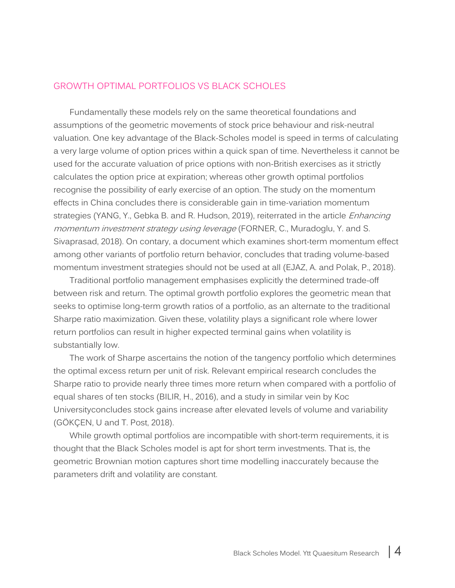### GROWTH OPTIMAL PORTFOLIOS VS BLACK SCHOLES

Fundamentally these models rely on the same theoretical foundations and assumptions of the geometric movements of stock price behaviour and risk-neutral valuation. One key advantage of the Black-Scholes model is speed in terms of calculating a very large volume of option prices within a quick span of time. Nevertheless it cannot be used for the accurate valuation of price options with non-British exercises as it strictly calculates the option price at expiration; whereas other growth optimal portfolios recognise the possibility of early exercise of an option. The study on the momentum effects in China concludes there is considerable gain in time-variation momentum strategies (YANG, Y., Gebka B. and R. Hudson, 2019), reiterrated in the article *Enhancing* momentum investment strategy using leverage (FORNER, C., Muradoglu, Y. and S. Sivaprasad, 2018). On contary, a document which examines short-term momentum effect among other variants of portfolio return behavior, concludes that trading volume-based momentum investment strategies should not be used at all (EJAZ, A. and Polak, P., 2018).

Traditional portfolio management emphasises explicitly the determined trade-off between risk and return. The optimal growth portfolio explores the geometric mean that seeks to optimise long-term growth ratios of a portfolio, as an alternate to the traditional Sharpe ratio maximization. Given these, volatility plays a significant role where lower return portfolios can result in higher expected terminal gains when volatility is substantially low.

The work of Sharpe ascertains the notion of the tangency portfolio which determines the optimal excess return per unit of risk. Relevant empirical research concludes the Sharpe ratio to provide nearly three times more return when compared with a portfolio of equal shares of ten stocks (BILIR, H., 2016), and a study in similar vein by Koc Universityconcludes stock gains increase after elevated levels of volume and variability (GÖKÇEN, U and T. Post, 2018).

While growth optimal portfolios are incompatible with short-term requirements, it is thought that the Black Scholes model is apt for short term investments. That is, the geometric Brownian motion captures short time modelling inaccurately because the parameters drift and volatility are constant.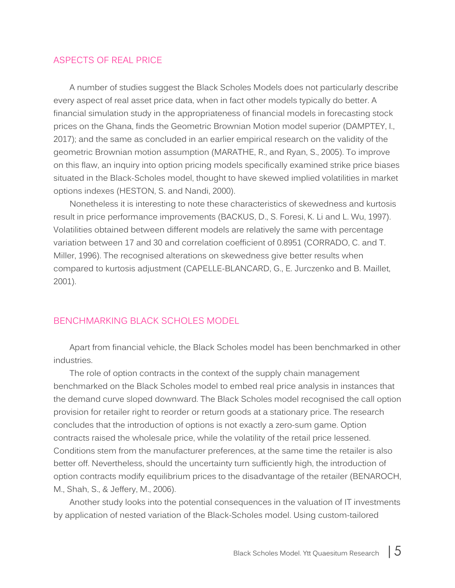### ASPECTS OF REAL PRICE

A number of studies suggest the Black Scholes Models does not particularly describe every aspect of real asset price data, when in fact other models typically do better. A financial simulation study in the appropriateness of financial models in forecasting stock prices on the Ghana, finds the Geometric Brownian Motion model superior (DAMPTEY, I., 2017); and the same as concluded in an earlier empirical research on the validity of the geometric Brownian motion assumption (MARATHE, R., and Ryan, S., 2005). To improve on this flaw, an inquiry into option pricing models specifically examined strike price biases situated in the Black-Scholes model, thought to have skewed implied volatilities in market options indexes (HESTON, S. and Nandi, 2000).

Nonetheless it is interesting to note these characteristics of skewedness and kurtosis result in price performance improvements (BACKUS, D., S. Foresi, K. Li and L. Wu, 1997). Volatilities obtained between different models are relatively the same with percentage variation between 17 and 30 and correlation coefficient of 0.8951 (CORRADO, C. and T. Miller, 1996). The recognised alterations on skewedness give better results when compared to kurtosis adjustment (CAPELLE-BLANCARD, G., E. Jurczenko and B. Maillet, 2001).

### BENCHMARKING BLACK SCHOLES MODEL

Apart from financial vehicle, the Black Scholes model has been benchmarked in other industries.

The role of option contracts in the context of the supply chain management benchmarked on the Black Scholes model to embed real price analysis in instances that the demand curve sloped downward. The Black Scholes model recognised the call option provision for retailer right to reorder or return goods at a stationary price. The research concludes that the introduction of options is not exactly a zero-sum game. Option contracts raised the wholesale price, while the volatility of the retail price lessened. Conditions stem from the manufacturer preferences, at the same time the retailer is also better off. Nevertheless, should the uncertainty turn sufficiently high, the introduction of option contracts modify equilibrium prices to the disadvantage of the retailer (BENAROCH, M., Shah, S., & Jeffery, M., 2006).

Another study looks into the potential consequences in the valuation of IT investments by application of nested variation of the Black-Scholes model. Using custom-tailored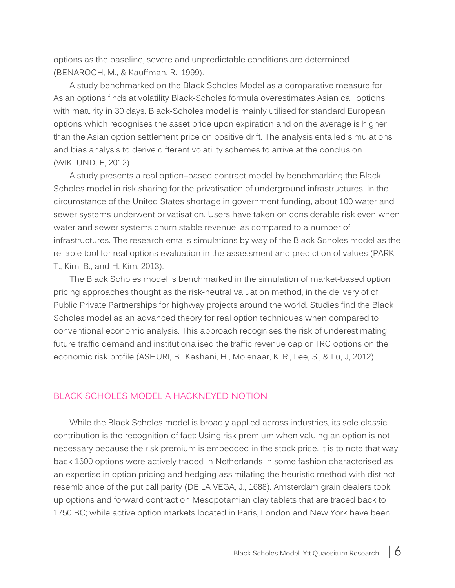options as the baseline, severe and unpredictable conditions are determined (BENAROCH, M., & Kauffman, R., 1999).

A study benchmarked on the Black Scholes Model as a comparative measure for Asian options finds at volatility Black-Scholes formula overestimates Asian call options with maturity in 30 days. Black-Scholes model is mainly utilised for standard European options which recognises the asset price upon expiration and on the average is higher than the Asian option settlement price on positive drift. The analysis entailed simulations and bias analysis to derive different volatility schemes to arrive at the conclusion (WIKLUND, E, 2012).

A study presents a real option–based contract model by benchmarking the Black Scholes model in risk sharing for the privatisation of underground infrastructures. In the circumstance of the United States shortage in government funding, about 100 water and sewer systems underwent privatisation. Users have taken on considerable risk even when water and sewer systems churn stable revenue, as compared to a number of infrastructures. The research entails simulations by way of the Black Scholes model as the reliable tool for real options evaluation in the assessment and prediction of values (PARK, T., Kim, B., and H. Kim, 2013).

The Black Scholes model is benchmarked in the simulation of market-based option pricing approaches thought as the risk-neutral valuation method, in the delivery of of Public Private Partnerships for highway projects around the world. Studies find the Black Scholes model as an advanced theory for real option techniques when compared to conventional economic analysis. This approach recognises the risk of underestimating future traffic demand and institutionalised the traffic revenue cap or TRC options on the economic risk profile (ASHURI, B., Kashani, H., Molenaar, K. R., Lee, S., & Lu, J, 2012).

### BLACK SCHOLES MODEL A HACKNEYED NOTION

While the Black Scholes model is broadly applied across industries, its sole classic contribution is the recognition of fact: Using risk premium when valuing an option is not necessary because the risk premium is embedded in the stock price. It is to note that way back 1600 options were actively traded in Netherlands in some fashion characterised as an expertise in option pricing and hedging assimilating the heuristic method with distinct resemblance of the put call parity (DE LA VEGA, J., 1688). Amsterdam grain dealers took up options and forward contract on Mesopotamian clay tablets that are traced back to 1750 BC; while active option markets located in Paris, London and New York have been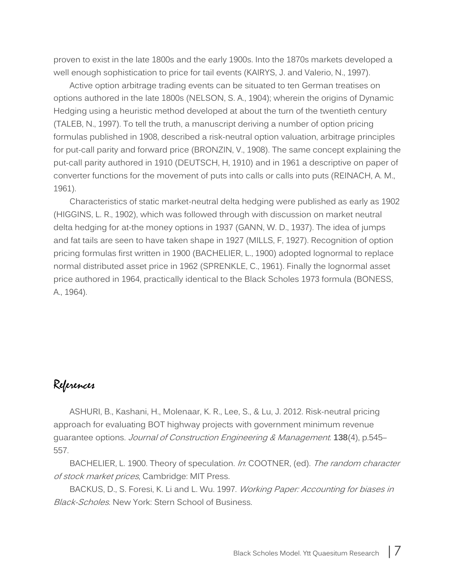proven to exist in the late 1800s and the early 1900s. Into the 1870s markets developed a well enough sophistication to price for tail events (KAIRYS, J. and Valerio, N., 1997).

Active option arbitrage trading events can be situated to ten German treatises on options authored in the late 1800s (NELSON, S. A., 1904); wherein the origins of Dynamic Hedging using a heuristic method developed at about the turn of the twentieth century (TALEB, N., 1997). To tell the truth, a manuscript deriving a number of option pricing formulas published in 1908, described a risk-neutral option valuation, arbitrage principles for put-call parity and forward price (BRONZIN, V., 1908). The same concept explaining the put-call parity authored in 1910 (DEUTSCH, H, 1910) and in 1961 a descriptive on paper of converter functions for the movement of puts into calls or calls into puts (REINACH, A. M., 1961).

Characteristics of static market-neutral delta hedging were published as early as 1902 (HIGGINS, L. R., 1902), which was followed through with discussion on market neutral delta hedging for at-the money options in 1937 (GANN, W. D., 1937). The idea of jumps and fat tails are seen to have taken shape in 1927 (MILLS, F, 1927). Recognition of option pricing formulas first written in 1900 (BACHELIER, L., 1900) adopted lognormal to replace normal distributed asset price in 1962 (SPRENKLE, C., 1961). Finally the lognormal asset price authored in 1964, practically identical to the Black Scholes 1973 formula (BONESS, A., 1964).

## References

ASHURI, B., Kashani, H., Molenaar, K. R., Lee, S., & Lu, J. 2012. Risk-neutral pricing approach for evaluating BOT highway projects with government minimum revenue guarantee options. Journal of Construction Engineering & Management. **138**(4), p.545– 557.

BACHELIER, L. 1900. Theory of speculation. In: COOTNER, (ed). The random character of stock market prices, Cambridge: MIT Press.

BACKUS, D., S. Foresi, K. Li and L. Wu. 1997. Working Paper: Accounting for biases in Black-Scholes. New York: Stern School of Business.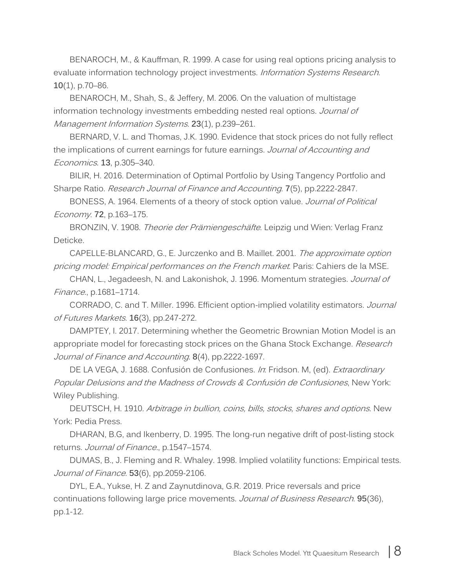BENAROCH, M., & Kauffman, R. 1999. A case for using real options pricing analysis to evaluate information technology project investments. *Information Systems Research*. **10**(1), p.70–86.

BENAROCH, M., Shah, S., & Jeffery, M. 2006. On the valuation of multistage information technology investments embedding nested real options. Journal of Management Information Systems. **23**(1), p.239–261.

BERNARD, V. L. and Thomas, J.K. 1990. Evidence that stock prices do not fully reflect the implications of current earnings for future earnings. Journal of Accounting and Economics. **13**, p.305–340.

BILIR, H. 2016. Determination of Optimal Portfolio by Using Tangency Portfolio and Sharpe Ratio. Research Journal of Finance and Accounting. **7**(5), pp.2222-2847.

BONESS, A. 1964. Elements of a theory of stock option value. Journal of Political Economy. **72**, p.163–175.

BRONZIN, V. 1908. *Theorie der Prämiengeschäfte*. Leipzig und Wien: Verlag Franz Deticke.

CAPELLE-BLANCARD, G., E. Jurczenko and B. Maillet. 2001. The approximate option pricing model: Empirical performances on the French market. Paris: Cahiers de la MSE.

CHAN, L., Jegadeesh, N. and Lakonishok, J. 1996. Momentum strategies. Journal of Finance., p.1681–1714.

CORRADO, C. and T. Miller. 1996. Efficient option-implied volatility estimators. Journal of Futures Markets. **16**(3), pp.247-272.

DAMPTEY, I. 2017. Determining whether the Geometric Brownian Motion Model is an appropriate model for forecasting stock prices on the Ghana Stock Exchange. Research Journal of Finance and Accounting. **8**(4), pp.2222-1697.

DE LA VEGA, J. 1688. Confusión de Confusiones. In: Fridson. M, (ed). *Extraordinary* Popular Delusions and the Madness of Crowds & Confusión de Confusiones, New York: Wiley Publishing.

DEUTSCH, H. 1910. Arbitrage in bullion, coins, bills, stocks, shares and options. New York: Pedia Press.

DHARAN, B.G, and Ikenberry, D. 1995. The long-run negative drift of post-listing stock returns. Journal of Finance., p.1547–1574.

DUMAS, B., J. Fleming and R. Whaley. 1998. Implied volatility functions: Empirical tests. Journal of Finance. **53**(6), pp.2059-2106.

DYL, E.A., Yukse, H. Z and Zaynutdinova, G.R. 2019. Price reversals and price continuations following large price movements. Journal of Business Research. **95**(36), pp.1-12.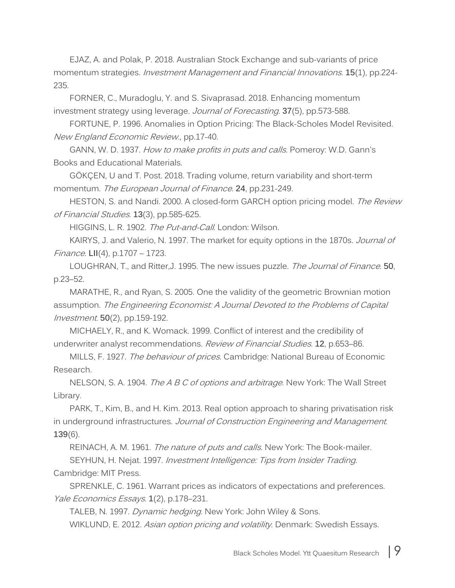EJAZ, A. and Polak, P. 2018. Australian Stock Exchange and sub-variants of price momentum strategies. Investment Management and Financial Innovations. **15**(1), pp.224- 235.

FORNER, C., Muradoglu, Y. and S. Sivaprasad. 2018. Enhancing momentum investment strategy using leverage. Journal of Forecasting. **37**(5), pp.573-588.

FORTUNE, P. 1996. Anomalies in Option Pricing: The Black-Scholes Model Revisited. New England Economic Review., pp.17-40.

GANN, W. D. 1937. How to make profits in puts and calls. Pomeroy: W.D. Gann's Books and Educational Materials.

GÖKÇEN, U and T. Post. 2018. Trading volume, return variability and short-term momentum. The European Journal of Finance. **24**, pp.231-249.

HESTON, S. and Nandi. 2000. A closed-form GARCH option pricing model. The Review of Financial Studies. **13**(3), pp.585-625.

HIGGINS, L. R. 1902. The Put-and-Call. London: Wilson.

KAIRYS, J. and Valerio, N. 1997. The market for equity options in the 1870s. Journal of Finance. **LII**(4), p.1707 – 1723.

LOUGHRAN, T., and Ritter,J. 1995. The new issues puzzle. The Journal of Finance. **50**, p.23–52.

MARATHE, R., and Ryan, S. 2005. One the validity of the geometric Brownian motion assumption. The Engineering Economist: A Journal Devoted to the Problems of Capital Investment. **50**(2), pp.159-192.

MICHAELY, R., and K. Womack. 1999. Conflict of interest and the credibility of underwriter analyst recommendations. Review of Financial Studies. **12**, p.653–86.

MILLS, F. 1927. *The behaviour of prices*. Cambridge: National Bureau of Economic Research.

NELSON, S. A. 1904. *The A B C of options and arbitrage*. New York: The Wall Street Library.

PARK, T., Kim, B., and H. Kim. 2013. Real option approach to sharing privatisation risk in underground infrastructures. Journal of Construction Engineering and Management. **139**(6).

REINACH, A. M. 1961. The nature of puts and calls. New York: The Book-mailer.

SEYHUN, H. Nejat. 1997. Investment Intelligence: Tips from Insider Trading.

Cambridge: MIT Press.

SPRENKLE, C. 1961. Warrant prices as indicators of expectations and preferences. Yale Economics Essays. **1**(2), p.178–231.

TALEB, N. 1997. Dynamic hedging. New York: John Wiley & Sons.

WIKLUND, E. 2012. Asian option pricing and volatility. Denmark: Swedish Essays.